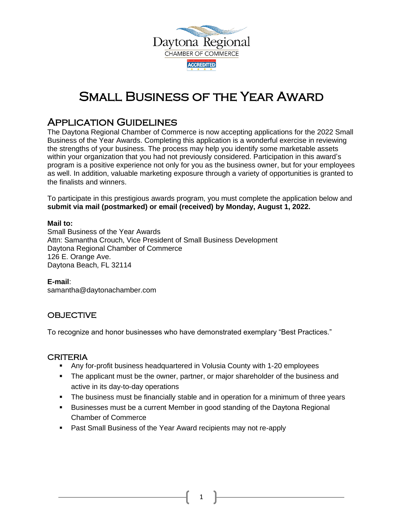

# Small Business of the Year Award

## Application Guidelines

The Daytona Regional Chamber of Commerce is now accepting applications for the 2022 Small Business of the Year Awards. Completing this application is a wonderful exercise in reviewing the strengths of your business. The process may help you identify some marketable assets within your organization that you had not previously considered. Participation in this award's program is a positive experience not only for you as the business owner, but for your employees as well. In addition, valuable marketing exposure through a variety of opportunities is granted to the finalists and winners.

To participate in this prestigious awards program, you must complete the application below and **submit via mail (postmarked) or email (received) by Monday, August 1, 2022.**

#### **Mail to:**

Small Business of the Year Awards Attn: Samantha Crouch, Vice President of Small Business Development Daytona Regional Chamber of Commerce 126 E. Orange Ave. Daytona Beach, FL 32114

### **E-mail**:

samantha@daytonachamber.com

## **OBJECTIVE**

To recognize and honor businesses who have demonstrated exemplary "Best Practices."

### CRITERIA

- Any for-profit business headquartered in Volusia County with 1-20 employees
- **•** The applicant must be the owner, partner, or major shareholder of the business and active in its day-to-day operations
- **•** The business must be financially stable and in operation for a minimum of three years
- Businesses must be a current Member in good standing of the Daytona Regional Chamber of Commerce
- Past Small Business of the Year Award recipients may not re-apply

1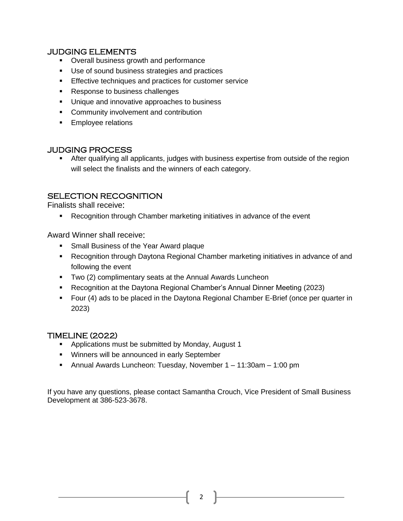## JUDGING ELEMENTS

- Overall business growth and performance
- Use of sound business strategies and practices
- **Effective techniques and practices for customer service**
- Response to business challenges
- Unique and innovative approaches to business
- Community involvement and contribution
- **Employee relations**

## JUDGING PROCESS

**EXECT** After qualifying all applicants, judges with business expertise from outside of the region will select the finalists and the winners of each category.

## SELECTION RECOGNITION

Finalists shall receive:

▪ Recognition through Chamber marketing initiatives in advance of the event

Award Winner shall receive:

- **Small Business of the Year Award plaque**
- Recognition through Daytona Regional Chamber marketing initiatives in advance of and following the event
- Two (2) complimentary seats at the Annual Awards Luncheon
- Recognition at the Daytona Regional Chamber's Annual Dinner Meeting (2023)
- Four (4) ads to be placed in the Daytona Regional Chamber E-Brief (once per quarter in 2023)

## TIMELINE (2022)

- Applications must be submitted by Monday, August 1
- Winners will be announced in early September
- Annual Awards Luncheon: Tuesday, November 1 11:30am 1:00 pm

If you have any questions, please contact Samantha Crouch, Vice President of Small Business Development at 386-523-3678.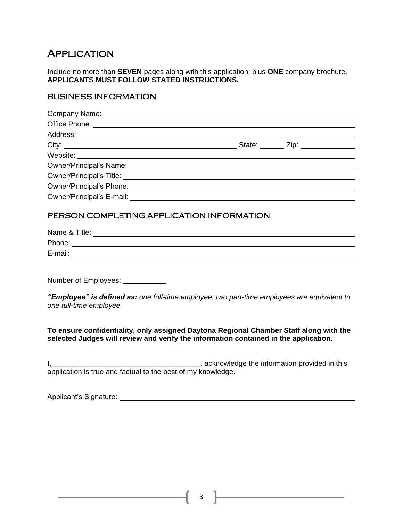## **APPLICATION**

Include no more than **SEVEN** pages along with this application, plus **ONE** company brochure. **APPLICANTS MUST FOLLOW STATED INSTRUCTIONS.** 

### BUSINESS INFORMATION

|                                           | State: _______ Zip: ______________ |  |
|-------------------------------------------|------------------------------------|--|
|                                           |                                    |  |
|                                           |                                    |  |
|                                           |                                    |  |
|                                           |                                    |  |
|                                           |                                    |  |
|                                           |                                    |  |
| PERSON COMPLETING APPLICATION INFORMATION |                                    |  |

## Name & Title: Phone: <u>with a set of the set of the set of the set of the set of the set of the set of the set of the set of the set of the set of the set of the set of the set of the set of the set of the set of the set of the set of th</u> E-mail:

Number of Employees:<br>
<u>Number</u> of Employees:

*"Employee" is defined as: one full-time employee; two part-time employees are equivalent to one full-time employee.* 

**To ensure confidentiality, only assigned Daytona Regional Chamber Staff along with the selected Judges will review and verify the information contained in the application.**

I,\_\_\_\_\_\_\_\_\_\_\_\_\_\_\_\_\_\_\_\_\_\_\_\_\_\_\_\_\_\_\_\_\_\_\_\_\_, acknowledge the information provided in this application is true and factual to the best of my knowledge.

Applicant's Signature:

3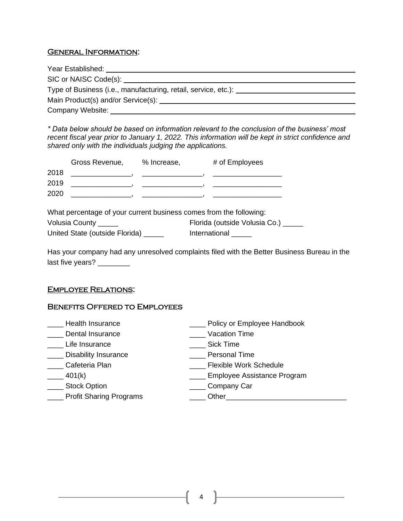### General Information:

| Year Established: Vear Links                                                                                                                                                                                                   |  |
|--------------------------------------------------------------------------------------------------------------------------------------------------------------------------------------------------------------------------------|--|
|                                                                                                                                                                                                                                |  |
| Type of Business (i.e., manufacturing, retail, service, etc.):                                                                                                                                                                 |  |
| Main Product(s) and/or Service(s): National System and System and System and System and System and System and System and System and System and System and System and System and System and System and System and System and Sy |  |
| Company Website:                                                                                                                                                                                                               |  |

*\* Data below should be based on information relevant to the conclusion of the business' most recent fiscal year prior to January 1, 2022. This information will be kept in strict confidence and shared only with the individuals judging the applications.*

| Volusia County _____           | Florida (outside Volusia Co.) |
|--------------------------------|-------------------------------|
| United State (outside Florida) | International                 |

Has your company had any unresolved complaints filed with the Better Business Bureau in the last five years? \_\_\_\_\_\_\_\_

#### Employee Relations: ٦

### Benefits Offered to Employees

| Health Insurance               | Policy or Employee Handbook   |
|--------------------------------|-------------------------------|
| Dental Insurance               | Vacation Time                 |
| Life Insurance                 | <b>Sick Time</b>              |
| <b>Disability Insurance</b>    | <b>Personal Time</b>          |
| Cafeteria Plan                 | <b>Flexible Work Schedule</b> |
| 401(k)                         | Employee Assistance Program   |
| <b>Stock Option</b>            | Company Car                   |
| <b>Profit Sharing Programs</b> | Other                         |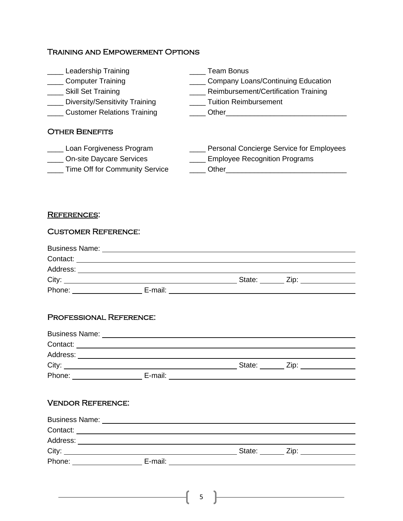## Training and Empowerment Options

| <b>Team Bonus</b>                        |
|------------------------------------------|
| _ Company Loans/Continuing Education     |
| Reimbursement/Certification Training     |
| <b>Tuition Reimbursement</b>             |
| Other                                    |
|                                          |
| Personal Concierge Service for Employees |
| <b>Employee Recognition Programs</b>     |
| Other                                    |
|                                          |

## REFERENCES:

| <b>CUSTOMER REFERENCE:</b>     |                                                                                                                                                                                                                                |                |  |
|--------------------------------|--------------------------------------------------------------------------------------------------------------------------------------------------------------------------------------------------------------------------------|----------------|--|
|                                |                                                                                                                                                                                                                                |                |  |
|                                |                                                                                                                                                                                                                                |                |  |
|                                |                                                                                                                                                                                                                                |                |  |
|                                |                                                                                                                                                                                                                                |                |  |
|                                |                                                                                                                                                                                                                                |                |  |
| <b>PROFESSIONAL REFERENCE:</b> |                                                                                                                                                                                                                                |                |  |
|                                |                                                                                                                                                                                                                                |                |  |
|                                |                                                                                                                                                                                                                                |                |  |
|                                |                                                                                                                                                                                                                                |                |  |
|                                |                                                                                                                                                                                                                                |                |  |
|                                | Phone: E-mail: E-mail: E-mail: E-mail: E-mail: E-mail: E-mail: E-mail: E-mail: E-mail: E-mail: E-mail: E-mail: E-mail: E-mail: E-mail: E-mail: E-mail: E-mail: E-mail: E-mail: E-mail: E-mail: E-mail: E-mail: E-mail: E-mail: |                |  |
|                                |                                                                                                                                                                                                                                |                |  |
| <b>VENDOR REFERENCE:</b>       |                                                                                                                                                                                                                                |                |  |
|                                |                                                                                                                                                                                                                                |                |  |
|                                |                                                                                                                                                                                                                                |                |  |
|                                |                                                                                                                                                                                                                                |                |  |
|                                |                                                                                                                                                                                                                                |                |  |
|                                | Phone: E-mail: E-mail: E-mail: E-mail: E-mail: E-mail: E-mail: E-mail: E-mail: E-mail: E-mail: E-mail: E-mail: E-mail: E-mail: E-mail: E-mail: E-mail: E-mail: E-mail: E-mail: E-mail: E-mail: E-mail: E-mail: E-mail: E-mail: |                |  |
|                                |                                                                                                                                                                                                                                |                |  |
|                                |                                                                                                                                                                                                                                |                |  |
|                                |                                                                                                                                                                                                                                | 5 <sup>7</sup> |  |